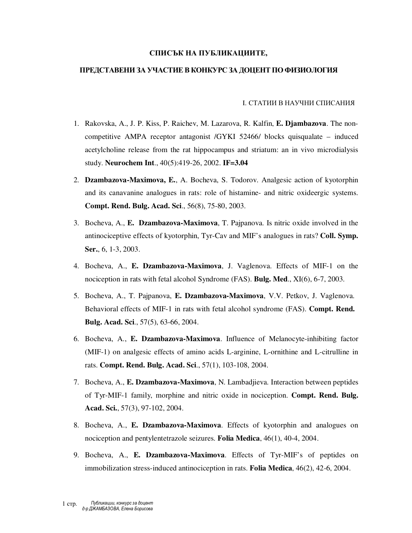## **СПИСЪК НА ПУБЛИКАЦИИТЕ,**

## **ПРЕДСТАВЕНИ ЗА УЧАСТИЕВ КОНКУРС ЗА ДОЦЕНТ ПО ФИЗИОЛОГИЯ**

## I. СТАТИИ В НАУЧНИ СПИСАНИЯ

- 1. Rakovska, A., J. P. Kiss, P. Raichev, M. Lazarova, R. Kalfin, **E. Djambazova**. The noncompetitive AMPA receptor antagonist /GYKI 52466/ blocks quisqualate – induced acetylcholine release from the rat hippocampus and striatum: an in vivo microdialysis study. **Neurochem Int**., 40(5):419-26, 2002. **IF=3.04**
- 2. **Dzambazova-Maximova, E.**, A. Bocheva, S. Todorov. Analgesic action of kyotorphin and its canavanine analogues in rats: role of histamine- and nitric oxideergic systems. **Compt. Rend. Bulg. Acad. Sci**., 56(8), 75-80, 2003.
- 3. Bocheva, A., **E. Dzambazova-Maximova**, T. Pajpanova. Is nitric oxide involved in the antinociceptive effects of kyotorphin, Tyr-Cav and MIF's analogues in rats? **Coll. Symp. Ser.**, 6, 1-3, 2003.
- 4. Bocheva, А., **E. Dzambazova-Maximova**, J. Vaglenova. Effects of MIF-1 on the nociception in rats with fetal alcohol Syndrome (FAS). **Bulg. Med**., XI(6), 6-7, 2003.
- 5. Bocheva, А., T. Pajpanova, **E. Dzambazova-Maximova**, V.V. Petkov, J. Vaglenova. Behavioral effects of MIF-1 in rats with fetal alcohol syndrome (FAS). **Compt. Rend. Bulg. Acad. Sci**., 57(5), 63-66, 2004.
- 6. Bocheva, A., **E. Dzambazova-Maximova**. Influence of Melanocyte-inhibiting factor (MIF-1) on analgesic effects of amino acids L-arginine, L-ornithine and L-citrulline in rats. **Compt. Rend. Bulg. Acad. Sci**., 57(1), 103-108, 2004.
- 7. Bocheva, A., **E. Dzambazova-Maximova**, N. Lambadjieva. Interaction between peptides of Tyr-MIF-1 family, morphine and nitric oxide in nociception. **Compt. Rend. Bulg. Acad. Sci.**, 57(3), 97-102, 2004.
- 8. Bocheva, А., **E. Dzambazova-Maximova**. Effects of kyotorphin and analogues on nociception and pentylentetrazole seizures. **Folia Medica**, 46(1), 40-4, 2004.
- 9. Bocheva, A., **E. Dzambazova-Maximova**. Effects of Tyr-MIF's of peptides on immobilization stress-induced antinociception in rats. **Folia Medica**, 46(2), 42-6, 2004.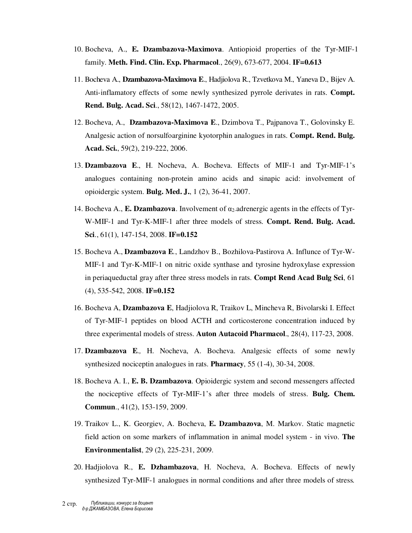- 10. Bocheva, A., **E. Dzambazova-Maximova**. Antiopioid properties of the Tyr-MIF-1 family. **Meth. Find. Clin. Exp. Pharmacol**., 26(9), 673-677, 2004. **IF=0.613**
- 11. Bocheva A., **Dzambazova-Maximova E**., Hadjiolova R., Tzvetkova M., Yaneva D., Bijev A. Anti-inflamatory effects of some newly synthesized pyrrole derivates in rats. **Compt. Rend. Bulg. Acad. Sci**., 58(12), 1467-1472, 2005.
- 12. Bocheva, A., **Dzambazova-Maximova E**., Dzimbova T., Pajpanova T., Golovinsky E. Analgesic action of norsulfoarginine kyotorphin analogues in rats. **Compt. Rend. Bulg. Acad. Sci.**, 59(2), 219-222, 2006.
- 13. **Dzambazova E**., H. Nocheva, A. Bocheva. Effects of MIF-1 and Tyr-MIF-1's analogues containing non-protein amino acids and sinapic acid: involvement of opioidergic system. **Bulg. Med. J.**, 1 (2), 36-41, 2007.
- 14. Bocheva A., **E. Dzambazova**. Involvement of  $\alpha_2$ -adrenergic agents in the effects of Tyr-W-MIF-1 and Tyr-K-MIF-1 after three models of stress. **Compt. Rend. Bulg. Acad. Sci**., 61(1), 147-154, 2008. **IF=0.152**
- 15. Bocheva A., **Dzambazova E***.*, Landzhov B., Bozhilova-Pastirova A. Influnce of Tyr-W-MIF-1 and Tyr-K-MIF-1 on nitric oxide synthase and tyrosine hydroxylase expression in periaqueductal gray after three stress models in rats. **Compt Rend Acad Bulg Sci**, 61 (4), 535-542, 2008. **IF=0.152**
- 16. Bocheva A, **Dzambazova E**, Hadjiolova R, Traikov L, Mincheva R, Bivolarski I. Effect of Tyr-MIF-1 peptides on blood ACTH and corticosterone concentration induced by three experimental models of stress. **Auton Autacoid Pharmacol**., 28(4), 117-23, 2008.
- 17. **Dzambazova E***.,* H. Nocheva, A. Bocheva. Analgesic effects of some newly synthesized nociceptin analogues in rats. **Pharmacy**, 55 (1-4), 30-34, 2008.
- 18. Bocheva A. I., **E. B. Dzambazova**. Opioidergic system and second messengers affected the nociceptive effects of Tyr-MIF-1's after three models of stress. **Bulg. Chem. Commun**., 41(2), 153-159, 2009.
- 19. Traikov L., K. Georgiev, A. Bocheva, **E. Dzambazova**, M. Markov. Static magnetic field action on some markers of inflammation in animal model system - in vivo. **The Environmentalist**, 29 (2), 225-231, 2009.
- 20. Hadjiolova R., **E. Dzhambazova**, H. Nocheva, A. Bocheva. Effects of newly synthesized Tyr-MIF-1 analogues in normal conditions and after three models of stress*.*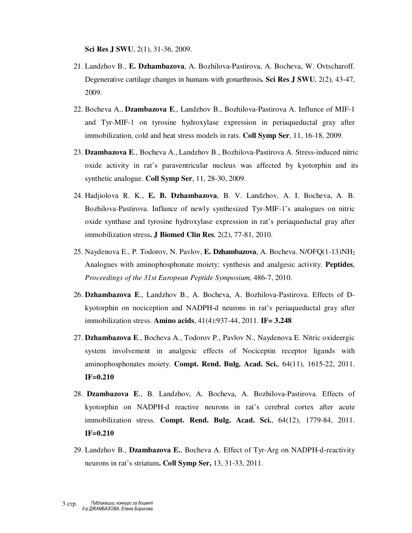**Sci Res J SWU**, 2(1), 31-36, 2009.

- 21. Landzhov B., **E. Dzhambazova**, A. Bozhilova-Pastirova, A. Bocheva, W. Ovtscharoff. Degenerative cartilage changes in humans with gonarthrosis**. Sci Res J SWU**, 2(2), 43-47, 2009.
- 22. Bocheva A., **Dzambazova E***.*, Landzhov B., Bozhilova-Pastirova A. Influnce of MIF-1 and Tyr-MIF-1 on tyrosine hydroxylase expression in periaqueductal gray after immobilization, cold and heat stress models in rats. **Coll Symp Ser**, 11, 16-18, 2009.
- 23. **Dzambazova E***.*, Bocheva A., Landzhov B., Bozhilova-Pastirova A. Stress-induced nitric oxide activity in rat's paraventricular nucleus was affected by kyotorphin and its synthetic analogue. **Coll Symp Ser**, 11, 28-30, 2009.
- 24. Hadjiolova R. K., **E. B. Dzhambazova**, B. V. Landzhov, A. I. Bocheva, A. B. Bozhilova-Pastirova. Influnce of newly synthesized Tyr-MIF-1's analogues on nitric oxide synthase and tyrosine hydroxylase expression in rat's periaqueductal gray after immobilization stress**. J Biomed Clin Res***,* 2(2), 77-81, 2010.
- 25. Naydenova E., P. Todorov, N. Pavlov, **E. Dzhambazova**, A. Bocheva. N/OFQ(1-13)NH<sup>2</sup> Analogues with aminophosphonate moiety: synthesis and analgesic activity. **Peptides**, *Proceedings of the 31st European Peptide Symposium,* 486-7, 2010.
- 26. **Dzhambazova E**., Landzhov B., A. Bocheva, A. Bozhilova-Pastirova. Effects of Dkyotorphin on nociception and NADPH-d neurons in rat's periaqueductal gray after immobilization stress. **Amino acids**, 41(4):937-44, 2011. **IF= 3.248**
- 27. **Dzhambazova E**., Bocheva A., Todorov P., Pavlov N., Naydenova E. Nitric oxideergic system involvement in analgesic effects of Nociceptin receptor ligands with aminophosphonates moiety. **Compt. Rend. Bulg. Acad. Sci.**, 64(11), 1615-22, 2011. **IF=0.210**
- 28. **Dzambazova E**., B. Landzhov, A. Bocheva, A. Bozhilova-Pastirova. Effects of kyotorphin on NADPH-d reactive neurons in rat's cerebral cortex after acute immobilization stress. **Compt. Rend. Bulg. Acad. Sci.**, 64(12), 1779-84, 2011. **IF=0.210**
- 29. Landzhov B., **Dzambazova E.**, Bocheva A. Effect of Tyr-Arg on NADPH-d-reactivity neurons in rat's striatum**. Coll Symp Ser,** 13, 31-33, 2011.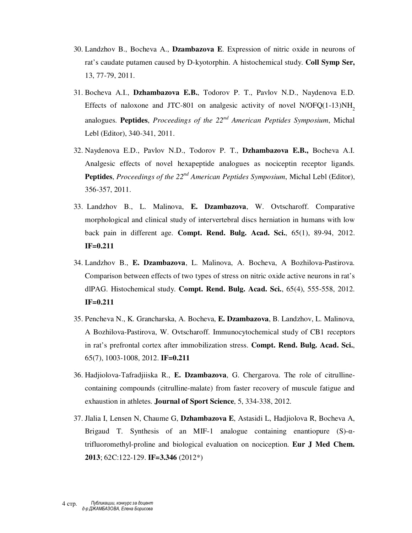- 30. Landzhov B., Bocheva A., **Dzambazova E**. Expression of nitric oxide in neurons of rat's caudate putamen caused by D-kyotorphin. A histochemical study. **Coll Symp Ser,**  13, 77-79, 2011.
- 31. Bocheva A.I., **Dzhambazova E.B.**, Todorov P. T., Pavlov N.D., Naydenova E.D. Effects of naloxone and JTC-801 on analgesic activity of novel  $N/OFO(1-13)NH<sub>2</sub>$ analogues. **Peptides**, *Proceedings of the 22nd American Peptides Symposium*, Michal Lebl (Editor), 340-341, 2011.
- 32. Naydenova E.D., Pavlov N.D., Todorov P. T., **Dzhambazova E.B.,** Bocheva A.I. Analgesic effects of novel hexapeptide analogues as nociceptin receptor ligands. **Peptides**, *Proceedings of the 22nd American Peptides Symposium*, Michal Lebl (Editor), 356-357, 2011.
- 33. Landzhov B., L. Malinova, **E. Dzambazova**, W. Ovtscharoff. Comparative morphological and clinical study of intervertebral discs herniation in humans with low back pain in different age. **Compt. Rend. Bulg. Acad. Sci.**, 65(1), 89-94, 2012. **IF=0.211**
- 34. Landzhov B., **E. Dzambazova**, L. Malinova, A. Bocheva, A Bozhilova-Pastirova. Comparison between effects of two types of stress on nitric oxide active neurons in rat's dlPAG. Histochemical study. **Compt. Rend. Bulg. Acad. Sci.**, 65(4), 555-558, 2012. **IF=0.211**
- 35. Pencheva N., K. Grancharska, A. Bocheva, **E. Dzambazova**, B. Landzhov, L. Malinova, A Bozhilova-Pastirova, W. Ovtscharoff. Immunocytochemical study of CB1 receptors in rat's prefrontal cortex after immobilization stress. **Compt. Rend. Bulg. Acad. Sci.**, 65(7), 1003-1008, 2012. **IF=0.211**
- 36. Hadjiolova-Таfradjiiska R., **Е. Dzambazova**, G. Chergarova. The role of citrullinecontaining compounds (citrulline-malate) from faster recovery of muscule fatigue and exhaustion in athletes. **Journal of Sport Science**, 5, 334-338, 2012.
- 37. Jlalia I, Lensen N, Chaume G, **Dzhambazova E**, Astasidi L, Hadjiolova R, Bocheva A, Brigaud T. Synthesis of an MIF-1 analogue containing enantiopure  $(S)$ - $\alpha$ trifluoromethyl-proline and biological evaluation on nociception. **Eur J Med Chem. 2013**; 62C:122-129. **IF=3.346** (2012\*)